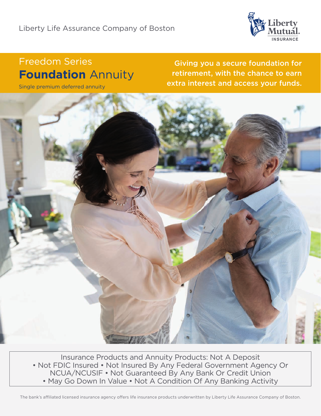

# Freedom Series **Foundation** Annuity

Single premium deferred annuity

Giving you a secure foundation for retirement, with the chance to earn extra interest and access your funds.

Insurance Products and Annuity Products: Not A Deposit • Not FDIC Insured • Not Insured By Any Federal Government Agency Or NCUA/NCUSIF • Not Guaranteed By Any Bank Or Credit Union • May Go Down In Value • Not A Condition Of Any Banking Activity

The bank's affiliated licensed insurance agency offers life insurance products underwritten by Liberty Life Assurance Company of Boston.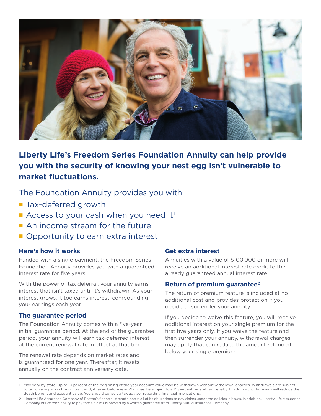

# **Liberty Life's Freedom Series Foundation Annuity can help provide you with the security of knowing your nest egg isn't vulnerable to market fluctuations.**

The Foundation Annuity provides you with:

- Tax-deferred growth
- Access to your cash when you need it<sup>1</sup>
- An income stream for the future
- Opportunity to earn extra interest

# **Here's how it works**

Funded with a single payment, the Freedom Series Foundation Annuity provides you with a guaranteed interest rate for five years.

With the power of tax deferral, your annuity earns interest that isn't taxed until it's withdrawn. As your interest grows, it too earns interest, compounding your earnings each year.

# **The guarantee period**

The Foundation Annuity comes with a five-year initial guarantee period. At the end of the guarantee period, your annuity will earn tax-deferred interest at the current renewal rate in effect at that time.

The renewal rate depends on market rates and is guaranteed for one year. Thereafter, it resets annually on the contract anniversary date.

# **Get extra interest**

Annuities with a value of \$100,000 or more will receive an additional interest rate credit to the already guaranteed annual interest rate.

# **Return of premium guarantee**2

The return of premium feature is included at no additional cost and provides protection if you decide to surrender your annuity.

If you decide to waive this feature, you will receive additional interest on your single premium for the first five years only. If you waive the feature and then surrender your annuity, withdrawal charges may apply that can reduce the amount refunded below your single premium.

<sup>1</sup> May vary by state. Up to 10 percent of the beginning of the year account value may be withdrawn without withdrawal charges. Withdrawals are subject to tax on any gain in the contract and, if taken before age 59½, may be subject to a 10 percent federal tax penalty. In addition, withdrawals will reduce the death benefit and account value. You should consult a tax advisor regarding financial implications.

<sup>2</sup> Liberty Life Assurance Company of Boston's financial strength backs all of its obligations to pay claims under the policies it issues. In addition, Liberty Life Assurance Company of Boston's ability to pay those claims is backed by a written guarantee from Liberty Mutual Insurance Company.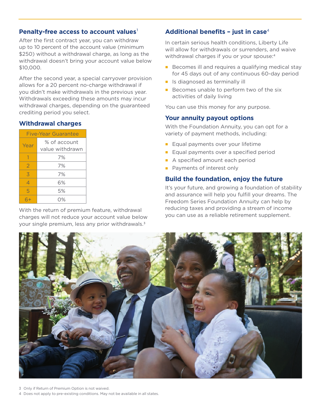#### **Penalty-free access to account values**

After the first contract year, you can withdraw up to 10 percent of the account value (minimum \$250) without a withdrawal charge, as long as the withdrawal doesn't bring your account value below \$10,000.

After the second year, a special carryover provision allows for a 20 percent no-charge withdrawal if you didn't make withdrawals in the previous year. Withdrawals exceeding these amounts may incur withdrawal charges, depending on the guaranteed crediting period you select.

#### **Withdrawal charges**

| Five-Year Guarantee |                                 |
|---------------------|---------------------------------|
| Year                | % of account<br>value withdrawn |
| 1                   | 7%                              |
| $\overline{2}$      | 7%                              |
| 3                   | 7%                              |
| 4                   | 6%                              |
| 5                   | 5%                              |
|                     | O%                              |

With the return of premium feature, withdrawal charges will not reduce your account value below your single premium, less any prior withdrawals.3

#### **Additional benefits – just in case**<sup>4</sup>

In certain serious health conditions, Liberty Life will allow for withdrawals or surrenders, and waive withdrawal charges if you or your spouse:4

- Becomes ill and requires a qualifying medical stay for 45 days out of any continuous 60-day period
- Is diagnosed as terminally ill
- Becomes unable to perform two of the six activities of daily living

You can use this money for any purpose.

#### **Your annuity payout options**

With the Foundation Annuity, you can opt for a variety of payment methods, including:

- Equal payments over your lifetime
- Equal payments over a specified period
- A specified amount each period
- Payments of interest only

#### **Build the foundation, enjoy the future**

It's your future, and growing a foundation of stability and assurance will help you fulfill your dreams. The Freedom Series Foundation Annuity can help by reducing taxes and providing a stream of income you can use as a reliable retirement supplement.



3 Only if Return of Premium Option is not waived.

4 Does not apply to pre-existing conditions. May not be available in all states.